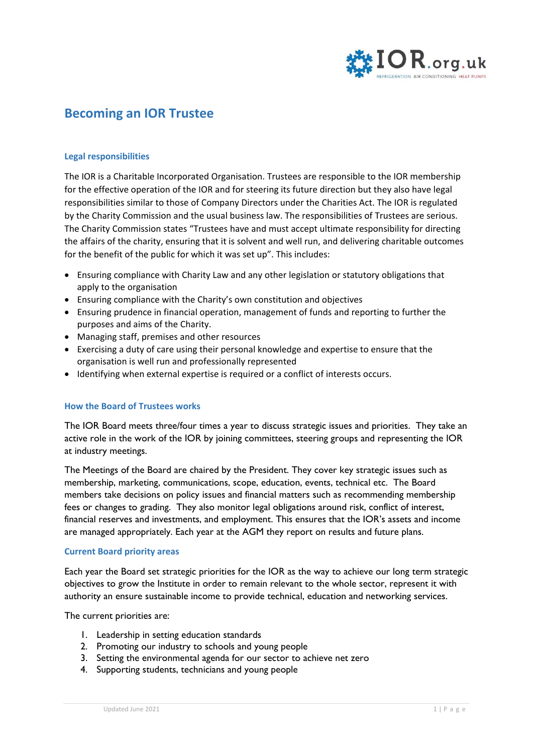

# **Becoming an IOR Trustee**

## **Legal responsibilities**

The IOR is a Charitable Incorporated Organisation. Trustees are responsible to the IOR membership for the effective operation of the IOR and for steering its future direction but they also have legal responsibilities similar to those of Company Directors under the Charities Act. The IOR is regulated by the Charity Commission and the usual business law. The responsibilities of Trustees are serious. The Charity Commission states "Trustees have and must accept ultimate responsibility for directing the affairs of the charity, ensuring that it is solvent and well run, and delivering charitable outcomes for the benefit of the public for which it was set up". This includes:

- Ensuring compliance with Charity Law and any other legislation or statutory obligations that apply to the organisation
- Ensuring compliance with the Charity's own constitution and objectives
- Ensuring prudence in financial operation, management of funds and reporting to further the purposes and aims of the Charity.
- Managing staff, premises and other resources
- Exercising a duty of care using their personal knowledge and expertise to ensure that the organisation is well run and professionally represented
- Identifying when external expertise is required or a conflict of interests occurs.

# **How the Board of Trustees works**

The IOR Board meets three/four times a year to discuss strategic issues and priorities. They take an active role in the work of the IOR by joining committees, steering groups and representing the IOR at industry meetings.

The Meetings of the Board are chaired by the President. They cover key strategic issues such as membership, marketing, communications, scope, education, events, technical etc. The Board members take decisions on policy issues and financial matters such as recommending membership fees or changes to grading. They also monitor legal obligations around risk, conflict of interest, financial reserves and investments, and employment. This ensures that the IOR's assets and income are managed appropriately. Each year at the AGM they report on results and future plans.

#### **Current Board priority areas**

Each year the Board set strategic priorities for the IOR as the way to achieve our long term strategic objectives to grow the Institute in order to remain relevant to the whole sector, represent it with authority an ensure sustainable income to provide technical, education and networking services.

The current priorities are:

- 1. Leadership in setting education standards
- 2. Promoting our industry to schools and young people
- 3. Setting the environmental agenda for our sector to achieve net zero
- 4. Supporting students, technicians and young people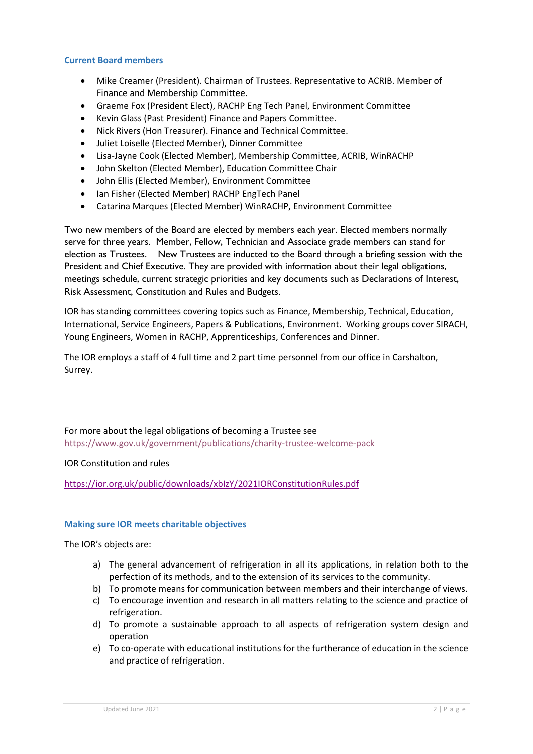# **Current Board members**

- Mike Creamer (President). Chairman of Trustees. Representative to ACRIB. Member of Finance and Membership Committee.
- Graeme Fox (President Elect), RACHP Eng Tech Panel, Environment Committee
- Kevin Glass (Past President) Finance and Papers Committee.
- Nick Rivers (Hon Treasurer). Finance and Technical Committee.
- Juliet Loiselle (Elected Member), Dinner Committee
- Lisa-Jayne Cook (Elected Member), Membership Committee, ACRIB, WinRACHP
- John Skelton (Elected Member), Education Committee Chair
- John Ellis (Elected Member), Environment Committee
- Ian Fisher (Elected Member) RACHP EngTech Panel
- Catarina Marques (Elected Member) WinRACHP, Environment Committee

Two new members of the Board are elected by members each year. Elected members normally serve for three years. Member, Fellow, Technician and Associate grade members can stand for election as Trustees. New Trustees are inducted to the Board through a briefing session with the President and Chief Executive. They are provided with information about their legal obligations, meetings schedule, current strategic priorities and key documents such as Declarations of Interest, Risk Assessment, Constitution and Rules and Budgets.

IOR has standing committees covering topics such as Finance, Membership, Technical, Education, International, Service Engineers, Papers & Publications, Environment. Working groups cover SIRACH, Young Engineers, Women in RACHP, Apprenticeships, Conferences and Dinner.

The IOR employs a staff of 4 full time and 2 part time personnel from our office in Carshalton, Surrey.

For more about the legal obligations of becoming a Trustee see https://www.gov.uk/government/publications/charity‐trustee‐welcome‐pack

IOR Constitution and rules

https://ior.org.uk/public/downloads/xbIzY/2021IORConstitutionRules.pdf

# **Making sure IOR meets charitable objectives**

The IOR's objects are:

- a) The general advancement of refrigeration in all its applications, in relation both to the perfection of its methods, and to the extension of its services to the community.
- b) To promote means for communication between members and their interchange of views.
- c) To encourage invention and research in all matters relating to the science and practice of refrigeration.
- d) To promote a sustainable approach to all aspects of refrigeration system design and operation
- e) To co-operate with educational institutions for the furtherance of education in the science and practice of refrigeration.